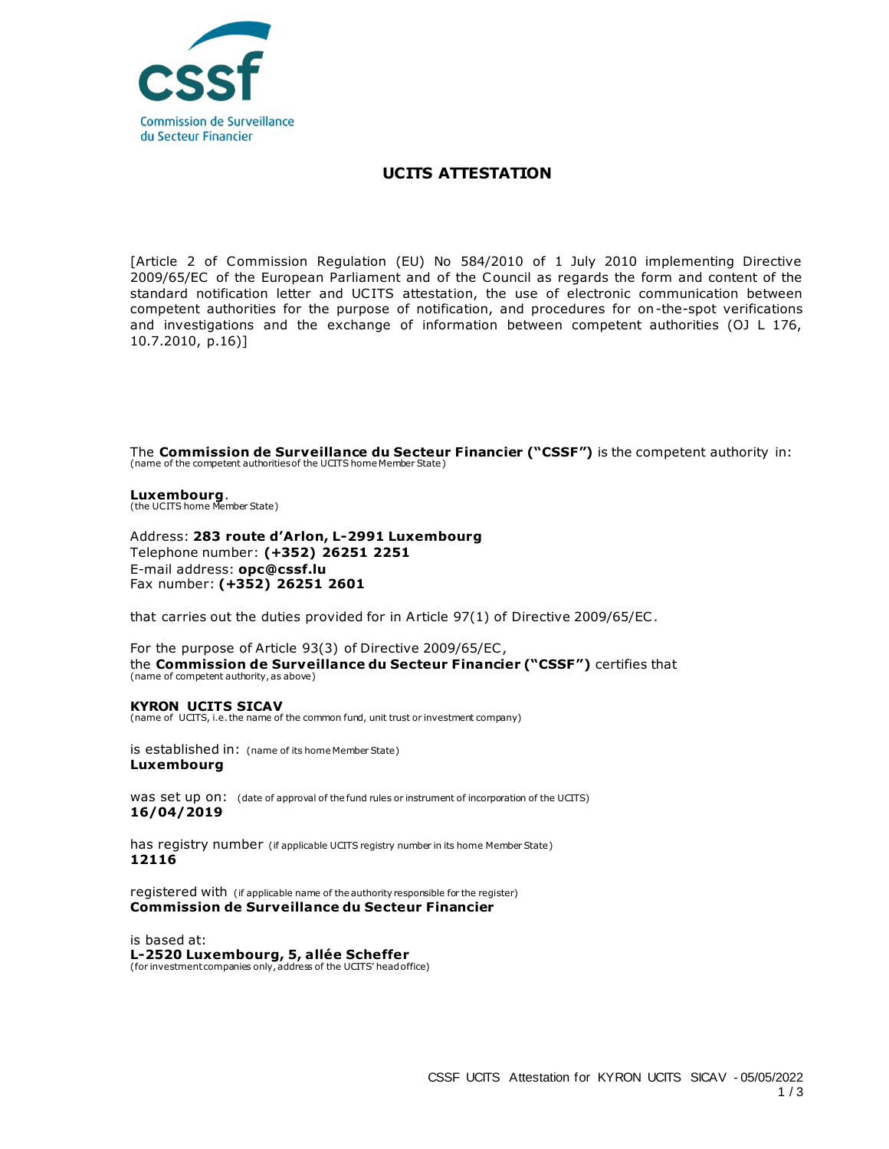

## **UCITS ATTESTATION**

[Article 2 of Commission Regulation (EU) No 584/2010 of 1 July 2010 implementing Directive 2009/65/EC of the European Parliament and of the Council as regards the form and content of the standard notification letter and UCITS attestation, the use of electronic communication between competent authorities for the purpose of notification, and procedures for on-the-spot verifications and investigations and the exchange of information between competent authorities (OJ L 176, 10.7.2010, p.16)]

The **Commission de Surveillance du Secteur Financier ("CSSF")** is the competent authority in: (name of the competent authorities of the UCITS home Member State)

**Luxembourg**. (the UCITS home Member State)

Address: **283 route d'Arlon, L-2991 Luxembourg** Telephone number: **(+352) 26251 2251**  E-mail address: **opc@cssf.lu** Fax number: **(+352) 26251 2601**

that carries out the duties provided for in Article 97(1) of Directive 2009/65/EC .

For the purpose of Article 93(3) of Directive 2009/65/EC , the **Commission de Surveillance du Secteur Financier ("CSSF")** certifies that (name of competent authority, as above)

## **KYRON UCITS SICAV**

(name of UCITS, i.e. the name of the common fund, unit trust or investment company)

is established in: (name of its home Member State) **Luxembourg**

was set up on: (date of approval of the fund rules or instrument of incorporation of the UCITS) **16/04/2019**

has registry number (if applicable UCITS registry number in its home Member State) **12116**

registered with (if applicable name of the authority responsible for the register) **Commission de Surveillance du Secteur Financier**

is based at: **L-2520 Luxembourg, 5, allée Scheffer** (for investment companies only, address of the UCITS' head office)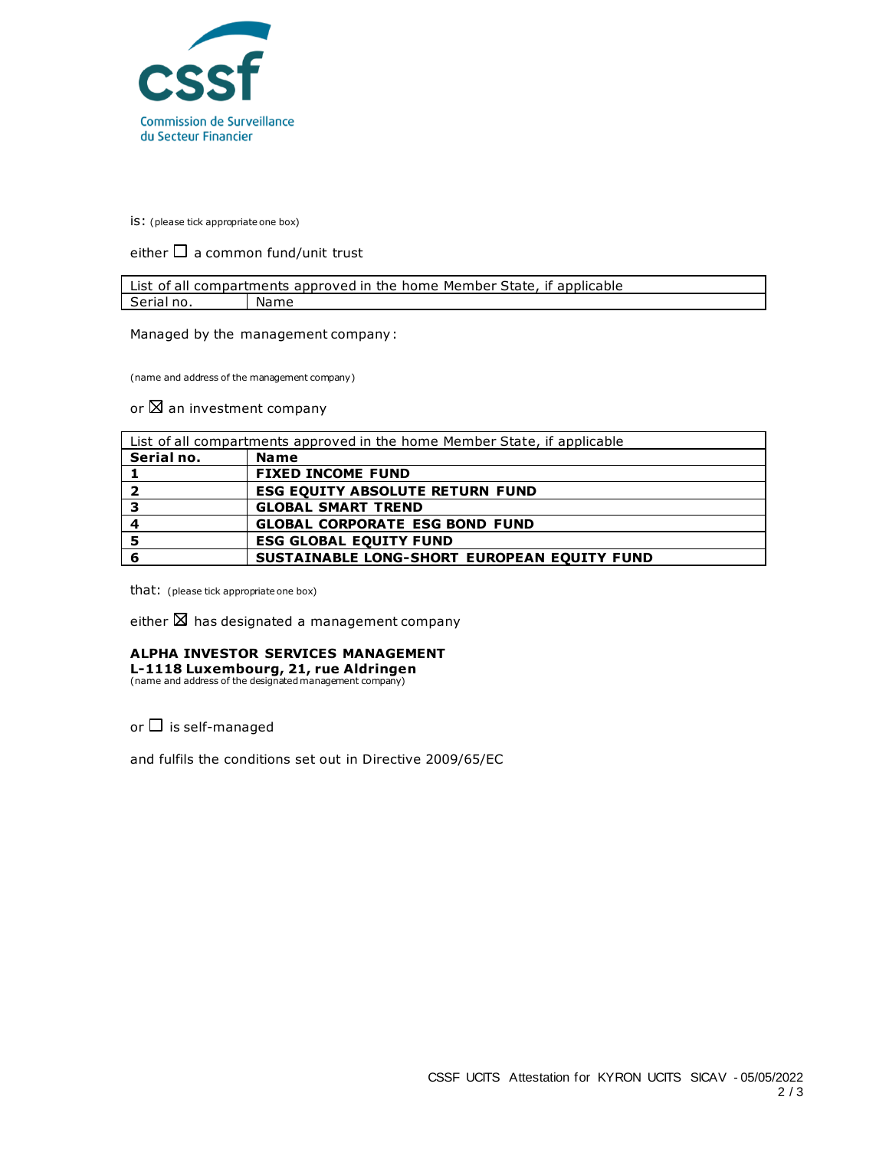

is: (please tick appropriate one box)

either  $\Box$  a common fund/unit trust

| List of all compartments approved in the home Member State, if applicable |      |
|---------------------------------------------------------------------------|------|
| Serial no.                                                                | Name |

Managed by the management company:

(name and address of the management company)

or  $\boxtimes$  an investment company

| List of all compartments approved in the home Member State, if applicable |                                                    |
|---------------------------------------------------------------------------|----------------------------------------------------|
| Serial no.                                                                | <b>Name</b>                                        |
|                                                                           | <b>FIXED INCOME FUND</b>                           |
| 2                                                                         | <b>ESG EQUITY ABSOLUTE RETURN FUND</b>             |
| 3                                                                         | <b>GLOBAL SMART TREND</b>                          |
| 4                                                                         | <b>GLOBAL CORPORATE ESG BOND FUND</b>              |
| - 5                                                                       | <b>ESG GLOBAL EQUITY FUND</b>                      |
|                                                                           | <b>SUSTAINABLE LONG-SHORT EUROPEAN EOUITY FUND</b> |

that: (please tick appropriate one box)

either  $\boxtimes$  has designated a management company

## **ALPHA INVESTOR SERVICES MANAGEMENT**

**L-1118 Luxembourg, 21, rue Aldringen** (name and address of the designated management company)

or  $\Box$  is self-managed

and fulfils the conditions set out in Directive 2009/65/EC